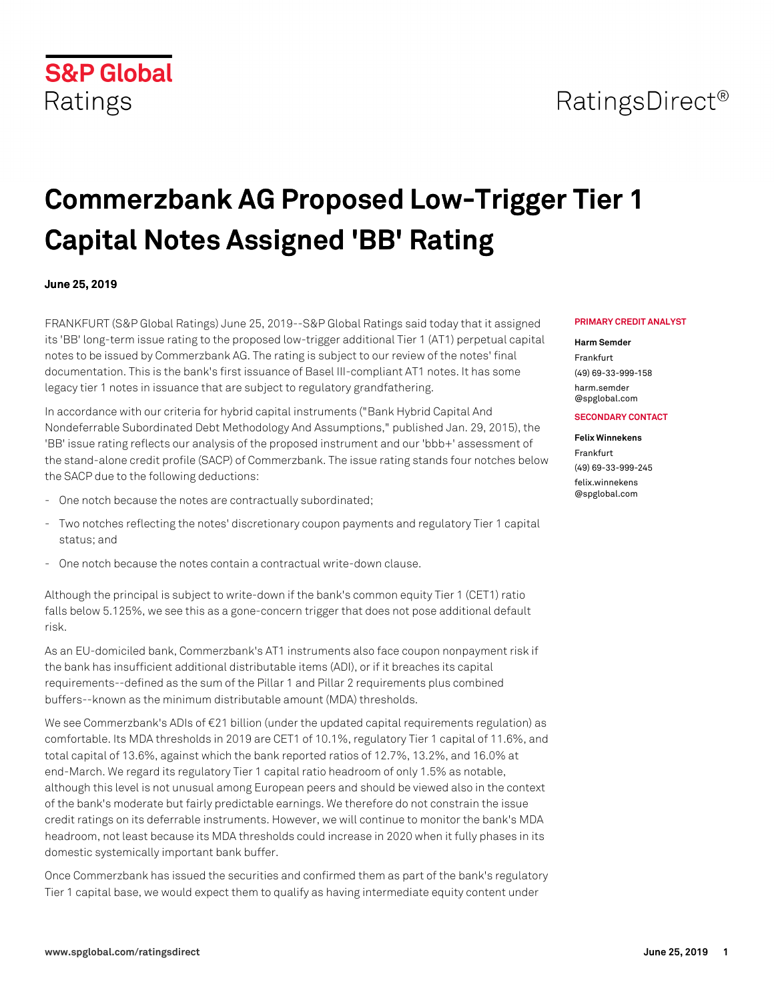## RatingsDirect<sup>®</sup>

# **Commerzbank AG Proposed Low-Trigger Tier 1 Capital Notes Assigned 'BB' Rating**

#### **June 25, 2019**

FRANKFURT (S&P Global Ratings) June 25, 2019--S&P Global Ratings said today that it assigned its 'BB' long-term issue rating to the proposed low-trigger additional Tier 1 (AT1) perpetual capital notes to be issued by Commerzbank AG. The rating is subject to our review of the notes' final documentation. This is the bank's first issuance of Basel III-compliant AT1 notes. It has some legacy tier 1 notes in issuance that are subject to regulatory grandfathering.

In accordance with our criteria for hybrid capital instruments ("Bank Hybrid Capital And Nondeferrable Subordinated Debt Methodology And Assumptions," published Jan. 29, 2015), the 'BB' issue rating reflects our analysis of the proposed instrument and our 'bbb+' assessment of the stand-alone credit profile (SACP) of Commerzbank. The issue rating stands four notches below the SACP due to the following deductions:

- One notch because the notes are contractually subordinated;
- Two notches reflecting the notes' discretionary coupon payments and regulatory Tier 1 capital status; and
- One notch because the notes contain a contractual write-down clause.

Although the principal is subject to write-down if the bank's common equity Tier 1 (CET1) ratio falls below 5.125%, we see this as a gone-concern trigger that does not pose additional default risk.

As an EU-domiciled bank, Commerzbank's AT1 instruments also face coupon nonpayment risk if the bank has insufficient additional distributable items (ADI), or if it breaches its capital requirements--defined as the sum of the Pillar 1 and Pillar 2 requirements plus combined buffers--known as the minimum distributable amount (MDA) thresholds.

We see Commerzbank's ADIs of €21 billion (under the updated capital requirements regulation) as comfortable. Its MDA thresholds in 2019 are CET1 of 10.1%, regulatory Tier 1 capital of 11.6%, and total capital of 13.6%, against which the bank reported ratios of 12.7%, 13.2%, and 16.0% at end-March. We regard its regulatory Tier 1 capital ratio headroom of only 1.5% as notable, although this level is not unusual among European peers and should be viewed also in the context of the bank's moderate but fairly predictable earnings. We therefore do not constrain the issue credit ratings on its deferrable instruments. However, we will continue to monitor the bank's MDA headroom, not least because its MDA thresholds could increase in 2020 when it fully phases in its domestic systemically important bank buffer.

Once Commerzbank has issued the securities and confirmed them as part of the bank's regulatory Tier 1 capital base, we would expect them to qualify as having intermediate equity content under

#### **PRIMARY CREDIT ANALYST**

#### **Harm Semder**

Frankfurt (49) 69-33-999-158 [harm.semder](mailto: harm.semder@spglobal.com) [@spglobal.com](mailto: harm.semder@spglobal.com)

#### **SECONDARY CONTACT**

#### **Felix Winnekens**

Frankfurt (49) 69-33-999-245 [felix.winnekens](mailto: felix.winnekens@spglobal.com) [@spglobal.com](mailto: felix.winnekens@spglobal.com)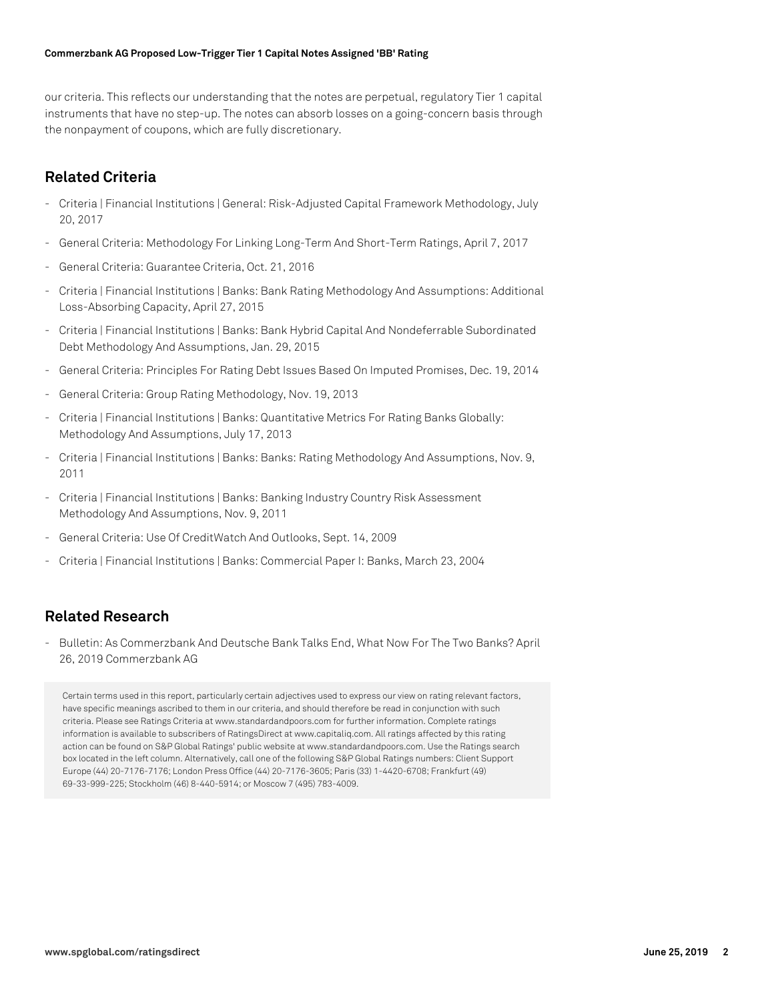#### **Commerzbank AG Proposed Low-Trigger Tier 1 Capital Notes Assigned 'BB' Rating**

our criteria. This reflects our understanding that the notes are perpetual, regulatory Tier 1 capital instruments that have no step-up. The notes can absorb losses on a going-concern basis through the nonpayment of coupons, which are fully discretionary.

## **Related Criteria**

- Criteria | Financial Institutions | General: Risk-Adjusted Capital Framework Methodology, July 20, 2017
- General Criteria: Methodology For Linking Long-Term And Short-Term Ratings, April 7, 2017
- General Criteria: Guarantee Criteria, Oct. 21, 2016
- Criteria | Financial Institutions | Banks: Bank Rating Methodology And Assumptions: Additional Loss-Absorbing Capacity, April 27, 2015
- Criteria | Financial Institutions | Banks: Bank Hybrid Capital And Nondeferrable Subordinated Debt Methodology And Assumptions, Jan. 29, 2015
- General Criteria: Principles For Rating Debt Issues Based On Imputed Promises, Dec. 19, 2014
- General Criteria: Group Rating Methodology, Nov. 19, 2013
- Criteria | Financial Institutions | Banks: Quantitative Metrics For Rating Banks Globally: Methodology And Assumptions, July 17, 2013
- Criteria | Financial Institutions | Banks: Banks: Rating Methodology And Assumptions, Nov. 9, 2011
- Criteria | Financial Institutions | Banks: Banking Industry Country Risk Assessment Methodology And Assumptions, Nov. 9, 2011
- General Criteria: Use Of CreditWatch And Outlooks, Sept. 14, 2009
- Criteria | Financial Institutions | Banks: Commercial Paper I: Banks, March 23, 2004

### **Related Research**

- Bulletin: As Commerzbank And Deutsche Bank Talks End, What Now For The Two Banks? April 26, 2019 Commerzbank AG

Certain terms used in this report, particularly certain adjectives used to express our view on rating relevant factors, have specific meanings ascribed to them in our criteria, and should therefore be read in conjunction with such criteria. Please see Ratings Criteria at www.standardandpoors.com for further information. Complete ratings information is available to subscribers of RatingsDirect at www.capitaliq.com. All ratings affected by this rating action can be found on S&P Global Ratings' public website at www.standardandpoors.com. Use the Ratings search box located in the left column. Alternatively, call one of the following S&P Global Ratings numbers: Client Support Europe (44) 20-7176-7176; London Press Office (44) 20-7176-3605; Paris (33) 1-4420-6708; Frankfurt (49) 69-33-999-225; Stockholm (46) 8-440-5914; or Moscow 7 (495) 783-4009.